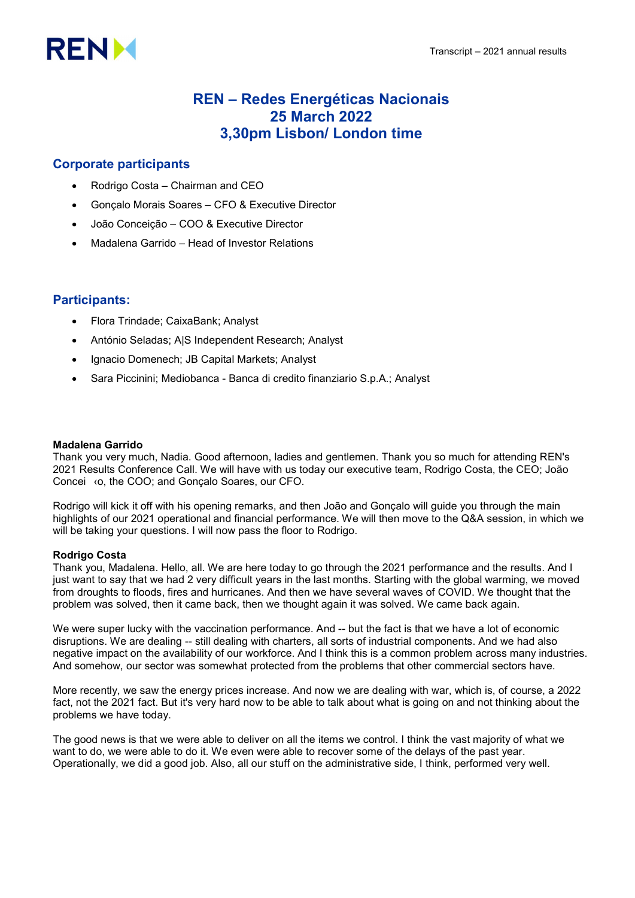# **RENX**

# REN – Redes Energéticas Nacionais 25 March 2022 3,30pm Lisbon/ London time

# Corporate participants

- Rodrigo Costa Chairman and CEO
- Gonçalo Morais Soares CFO & Executive Director
- João Conceição COO & Executive Director
- Madalena Garrido Head of Investor Relations

# Participants:

- Flora Trindade; CaixaBank; Analyst
- António Seladas; A|S Independent Research; Analyst
- Ignacio Domenech; JB Capital Markets; Analyst
- Sara Piccinini; Mediobanca Banca di credito finanziario S.p.A.; Analyst

# Madalena Garrido

Thank you very much, Nadia. Good afternoon, ladies and gentlemen. Thank you so much for attending REN's 2021 Results Conference Call. We will have with us today our executive team, Rodrigo Costa, the CEO; João Concei ‹o, the COO; and Gonçalo Soares, our CFO.

Rodrigo will kick it off with his opening remarks, and then João and Gonçalo will guide you through the main highlights of our 2021 operational and financial performance. We will then move to the Q&A session, in which we will be taking your questions. I will now pass the floor to Rodrigo.

# Rodrigo Costa

Thank you, Madalena. Hello, all. We are here today to go through the 2021 performance and the results. And I just want to say that we had 2 very difficult years in the last months. Starting with the global warming, we moved from droughts to floods, fires and hurricanes. And then we have several waves of COVID. We thought that the problem was solved, then it came back, then we thought again it was solved. We came back again.

We were super lucky with the vaccination performance. And -- but the fact is that we have a lot of economic disruptions. We are dealing -- still dealing with charters, all sorts of industrial components. And we had also negative impact on the availability of our workforce. And I think this is a common problem across many industries. And somehow, our sector was somewhat protected from the problems that other commercial sectors have.

More recently, we saw the energy prices increase. And now we are dealing with war, which is, of course, a 2022 fact, not the 2021 fact. But it's very hard now to be able to talk about what is going on and not thinking about the problems we have today.

The good news is that we were able to deliver on all the items we control. I think the vast majority of what we want to do, we were able to do it. We even were able to recover some of the delays of the past year. Operationally, we did a good job. Also, all our stuff on the administrative side, I think, performed very well.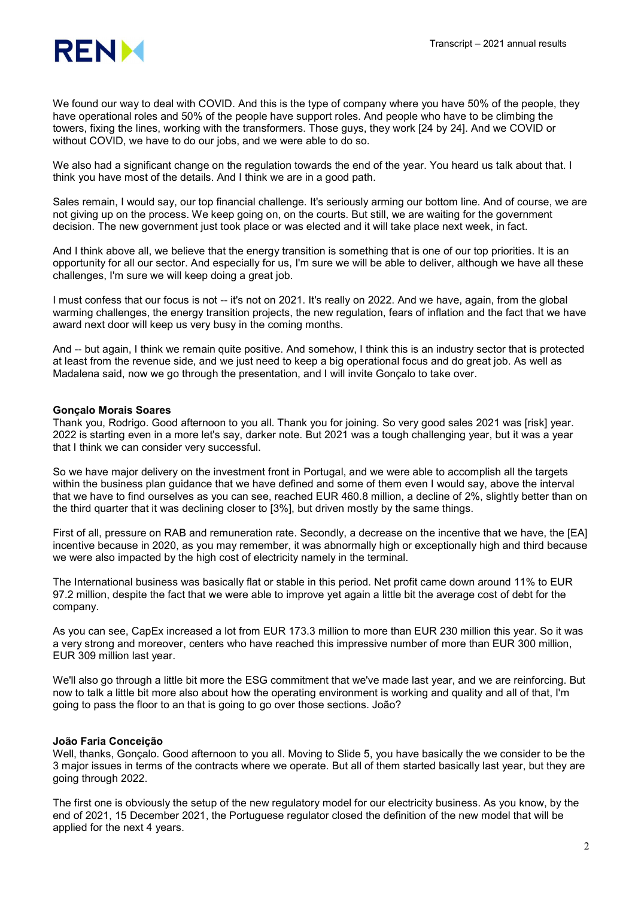

We found our way to deal with COVID. And this is the type of company where you have 50% of the people, they have operational roles and 50% of the people have support roles. And people who have to be climbing the towers, fixing the lines, working with the transformers. Those guys, they work [24 by 24]. And we COVID or without COVID, we have to do our jobs, and we were able to do so.

We also had a significant change on the regulation towards the end of the year. You heard us talk about that. I think you have most of the details. And I think we are in a good path.

Sales remain, I would say, our top financial challenge. It's seriously arming our bottom line. And of course, we are not giving up on the process. We keep going on, on the courts. But still, we are waiting for the government decision. The new government just took place or was elected and it will take place next week, in fact.

And I think above all, we believe that the energy transition is something that is one of our top priorities. It is an opportunity for all our sector. And especially for us, I'm sure we will be able to deliver, although we have all these challenges, I'm sure we will keep doing a great job.

I must confess that our focus is not -- it's not on 2021. It's really on 2022. And we have, again, from the global warming challenges, the energy transition projects, the new regulation, fears of inflation and the fact that we have award next door will keep us very busy in the coming months.

And -- but again, I think we remain quite positive. And somehow, I think this is an industry sector that is protected at least from the revenue side, and we just need to keep a big operational focus and do great job. As well as Madalena said, now we go through the presentation, and I will invite Gonçalo to take over.

# Gonçalo Morais Soares

Thank you, Rodrigo. Good afternoon to you all. Thank you for joining. So very good sales 2021 was [risk] year. 2022 is starting even in a more let's say, darker note. But 2021 was a tough challenging year, but it was a year that I think we can consider very successful.

So we have major delivery on the investment front in Portugal, and we were able to accomplish all the targets within the business plan guidance that we have defined and some of them even I would say, above the interval that we have to find ourselves as you can see, reached EUR 460.8 million, a decline of 2%, slightly better than on the third quarter that it was declining closer to [3%], but driven mostly by the same things.

First of all, pressure on RAB and remuneration rate. Secondly, a decrease on the incentive that we have, the [EA] incentive because in 2020, as you may remember, it was abnormally high or exceptionally high and third because we were also impacted by the high cost of electricity namely in the terminal.

The International business was basically flat or stable in this period. Net profit came down around 11% to EUR 97.2 million, despite the fact that we were able to improve yet again a little bit the average cost of debt for the company.

As you can see, CapEx increased a lot from EUR 173.3 million to more than EUR 230 million this year. So it was a very strong and moreover, centers who have reached this impressive number of more than EUR 300 million, EUR 309 million last year.

We'll also go through a little bit more the ESG commitment that we've made last year, and we are reinforcing. But now to talk a little bit more also about how the operating environment is working and quality and all of that, I'm going to pass the floor to an that is going to go over those sections. João?

# João Faria Conceição

Well, thanks, Gonçalo. Good afternoon to you all. Moving to Slide 5, you have basically the we consider to be the 3 major issues in terms of the contracts where we operate. But all of them started basically last year, but they are going through 2022.

The first one is obviously the setup of the new regulatory model for our electricity business. As you know, by the end of 2021, 15 December 2021, the Portuguese regulator closed the definition of the new model that will be applied for the next 4 years.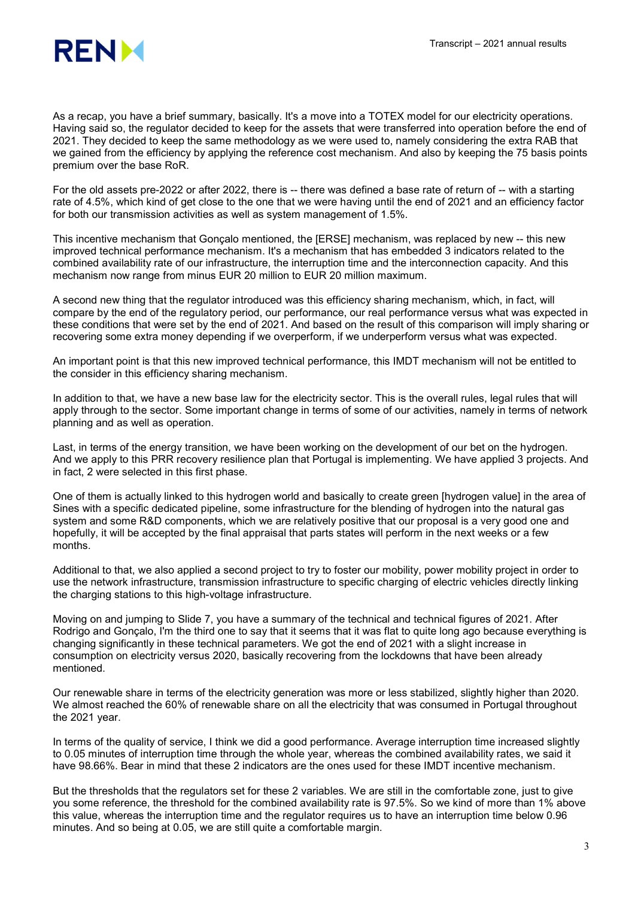

As a recap, you have a brief summary, basically. It's a move into a TOTEX model for our electricity operations. Having said so, the regulator decided to keep for the assets that were transferred into operation before the end of 2021. They decided to keep the same methodology as we were used to, namely considering the extra RAB that we gained from the efficiency by applying the reference cost mechanism. And also by keeping the 75 basis points premium over the base RoR.

For the old assets pre-2022 or after 2022, there is -- there was defined a base rate of return of -- with a starting rate of 4.5%, which kind of get close to the one that we were having until the end of 2021 and an efficiency factor for both our transmission activities as well as system management of 1.5%.

This incentive mechanism that Gonçalo mentioned, the [ERSE] mechanism, was replaced by new -- this new improved technical performance mechanism. It's a mechanism that has embedded 3 indicators related to the combined availability rate of our infrastructure, the interruption time and the interconnection capacity. And this mechanism now range from minus EUR 20 million to EUR 20 million maximum.

A second new thing that the regulator introduced was this efficiency sharing mechanism, which, in fact, will compare by the end of the regulatory period, our performance, our real performance versus what was expected in these conditions that were set by the end of 2021. And based on the result of this comparison will imply sharing or recovering some extra money depending if we overperform, if we underperform versus what was expected.

An important point is that this new improved technical performance, this IMDT mechanism will not be entitled to the consider in this efficiency sharing mechanism.

In addition to that, we have a new base law for the electricity sector. This is the overall rules, legal rules that will apply through to the sector. Some important change in terms of some of our activities, namely in terms of network planning and as well as operation.

Last, in terms of the energy transition, we have been working on the development of our bet on the hydrogen. And we apply to this PRR recovery resilience plan that Portugal is implementing. We have applied 3 projects. And in fact, 2 were selected in this first phase.

One of them is actually linked to this hydrogen world and basically to create green [hydrogen value] in the area of Sines with a specific dedicated pipeline, some infrastructure for the blending of hydrogen into the natural gas system and some R&D components, which we are relatively positive that our proposal is a very good one and hopefully, it will be accepted by the final appraisal that parts states will perform in the next weeks or a few months.

Additional to that, we also applied a second project to try to foster our mobility, power mobility project in order to use the network infrastructure, transmission infrastructure to specific charging of electric vehicles directly linking the charging stations to this high-voltage infrastructure.

Moving on and jumping to Slide 7, you have a summary of the technical and technical figures of 2021. After Rodrigo and Gonçalo, I'm the third one to say that it seems that it was flat to quite long ago because everything is changing significantly in these technical parameters. We got the end of 2021 with a slight increase in consumption on electricity versus 2020, basically recovering from the lockdowns that have been already mentioned.

Our renewable share in terms of the electricity generation was more or less stabilized, slightly higher than 2020. We almost reached the 60% of renewable share on all the electricity that was consumed in Portugal throughout the 2021 year.

In terms of the quality of service, I think we did a good performance. Average interruption time increased slightly to 0.05 minutes of interruption time through the whole year, whereas the combined availability rates, we said it have 98.66%. Bear in mind that these 2 indicators are the ones used for these IMDT incentive mechanism.

But the thresholds that the regulators set for these 2 variables. We are still in the comfortable zone, just to give you some reference, the threshold for the combined availability rate is 97.5%. So we kind of more than 1% above this value, whereas the interruption time and the regulator requires us to have an interruption time below 0.96 minutes. And so being at 0.05, we are still quite a comfortable margin.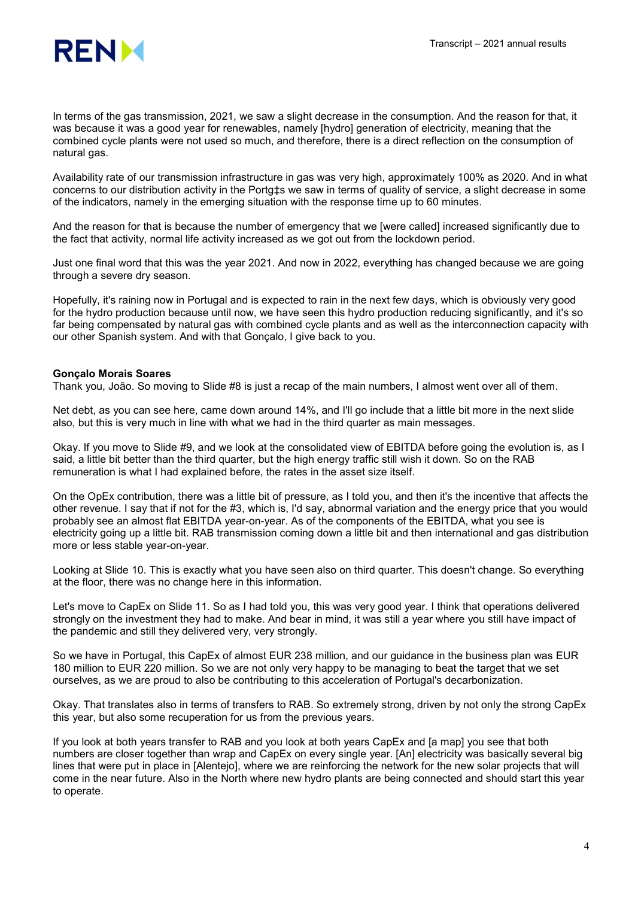

In terms of the gas transmission, 2021, we saw a slight decrease in the consumption. And the reason for that, it was because it was a good year for renewables, namely [hydro] generation of electricity, meaning that the combined cycle plants were not used so much, and therefore, there is a direct reflection on the consumption of natural gas.

Availability rate of our transmission infrastructure in gas was very high, approximately 100% as 2020. And in what concerns to our distribution activity in the Portg‡s we saw in terms of quality of service, a slight decrease in some of the indicators, namely in the emerging situation with the response time up to 60 minutes.

And the reason for that is because the number of emergency that we [were called] increased significantly due to the fact that activity, normal life activity increased as we got out from the lockdown period.

Just one final word that this was the year 2021. And now in 2022, everything has changed because we are going through a severe dry season.

Hopefully, it's raining now in Portugal and is expected to rain in the next few days, which is obviously very good for the hydro production because until now, we have seen this hydro production reducing significantly, and it's so far being compensated by natural gas with combined cycle plants and as well as the interconnection capacity with our other Spanish system. And with that Gonçalo, I give back to you.

# Gonçalo Morais Soares

Thank you, João. So moving to Slide #8 is just a recap of the main numbers, I almost went over all of them.

Net debt, as you can see here, came down around 14%, and I'll go include that a little bit more in the next slide also, but this is very much in line with what we had in the third quarter as main messages.

Okay. If you move to Slide #9, and we look at the consolidated view of EBITDA before going the evolution is, as I said, a little bit better than the third quarter, but the high energy traffic still wish it down. So on the RAB remuneration is what I had explained before, the rates in the asset size itself.

On the OpEx contribution, there was a little bit of pressure, as I told you, and then it's the incentive that affects the other revenue. I say that if not for the #3, which is, I'd say, abnormal variation and the energy price that you would probably see an almost flat EBITDA year-on-year. As of the components of the EBITDA, what you see is electricity going up a little bit. RAB transmission coming down a little bit and then international and gas distribution more or less stable year-on-year.

Looking at Slide 10. This is exactly what you have seen also on third quarter. This doesn't change. So everything at the floor, there was no change here in this information.

Let's move to CapEx on Slide 11. So as I had told you, this was very good year. I think that operations delivered strongly on the investment they had to make. And bear in mind, it was still a year where you still have impact of the pandemic and still they delivered very, very strongly.

So we have in Portugal, this CapEx of almost EUR 238 million, and our guidance in the business plan was EUR 180 million to EUR 220 million. So we are not only very happy to be managing to beat the target that we set ourselves, as we are proud to also be contributing to this acceleration of Portugal's decarbonization.

Okay. That translates also in terms of transfers to RAB. So extremely strong, driven by not only the strong CapEx this year, but also some recuperation for us from the previous years.

If you look at both years transfer to RAB and you look at both years CapEx and [a map] you see that both numbers are closer together than wrap and CapEx on every single year. [An] electricity was basically several big lines that were put in place in [Alentejo], where we are reinforcing the network for the new solar projects that will come in the near future. Also in the North where new hydro plants are being connected and should start this year to operate.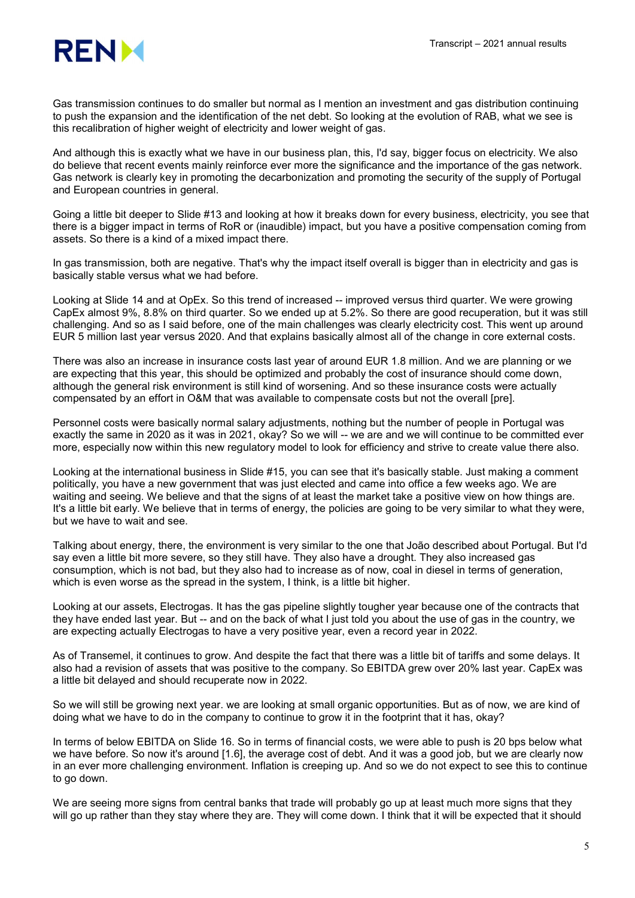

Gas transmission continues to do smaller but normal as I mention an investment and gas distribution continuing to push the expansion and the identification of the net debt. So looking at the evolution of RAB, what we see is this recalibration of higher weight of electricity and lower weight of gas.

And although this is exactly what we have in our business plan, this, I'd say, bigger focus on electricity. We also do believe that recent events mainly reinforce ever more the significance and the importance of the gas network. Gas network is clearly key in promoting the decarbonization and promoting the security of the supply of Portugal and European countries in general.

Going a little bit deeper to Slide #13 and looking at how it breaks down for every business, electricity, you see that there is a bigger impact in terms of RoR or (inaudible) impact, but you have a positive compensation coming from assets. So there is a kind of a mixed impact there.

In gas transmission, both are negative. That's why the impact itself overall is bigger than in electricity and gas is basically stable versus what we had before.

Looking at Slide 14 and at OpEx. So this trend of increased -- improved versus third quarter. We were growing CapEx almost 9%, 8.8% on third quarter. So we ended up at 5.2%. So there are good recuperation, but it was still challenging. And so as I said before, one of the main challenges was clearly electricity cost. This went up around EUR 5 million last year versus 2020. And that explains basically almost all of the change in core external costs.

There was also an increase in insurance costs last year of around EUR 1.8 million. And we are planning or we are expecting that this year, this should be optimized and probably the cost of insurance should come down, although the general risk environment is still kind of worsening. And so these insurance costs were actually compensated by an effort in O&M that was available to compensate costs but not the overall [pre].

Personnel costs were basically normal salary adjustments, nothing but the number of people in Portugal was exactly the same in 2020 as it was in 2021, okay? So we will -- we are and we will continue to be committed ever more, especially now within this new regulatory model to look for efficiency and strive to create value there also.

Looking at the international business in Slide #15, you can see that it's basically stable. Just making a comment politically, you have a new government that was just elected and came into office a few weeks ago. We are waiting and seeing. We believe and that the signs of at least the market take a positive view on how things are. It's a little bit early. We believe that in terms of energy, the policies are going to be very similar to what they were, but we have to wait and see.

Talking about energy, there, the environment is very similar to the one that João described about Portugal. But I'd say even a little bit more severe, so they still have. They also have a drought. They also increased gas consumption, which is not bad, but they also had to increase as of now, coal in diesel in terms of generation, which is even worse as the spread in the system, I think, is a little bit higher.

Looking at our assets, Electrogas. It has the gas pipeline slightly tougher year because one of the contracts that they have ended last year. But -- and on the back of what I just told you about the use of gas in the country, we are expecting actually Electrogas to have a very positive year, even a record year in 2022.

As of Transemel, it continues to grow. And despite the fact that there was a little bit of tariffs and some delays. It also had a revision of assets that was positive to the company. So EBITDA grew over 20% last year. CapEx was a little bit delayed and should recuperate now in 2022.

So we will still be growing next year. we are looking at small organic opportunities. But as of now, we are kind of doing what we have to do in the company to continue to grow it in the footprint that it has, okay?

In terms of below EBITDA on Slide 16. So in terms of financial costs, we were able to push is 20 bps below what we have before. So now it's around [1.6], the average cost of debt. And it was a good job, but we are clearly now in an ever more challenging environment. Inflation is creeping up. And so we do not expect to see this to continue to go down.

We are seeing more signs from central banks that trade will probably go up at least much more signs that they will go up rather than they stay where they are. They will come down. I think that it will be expected that it should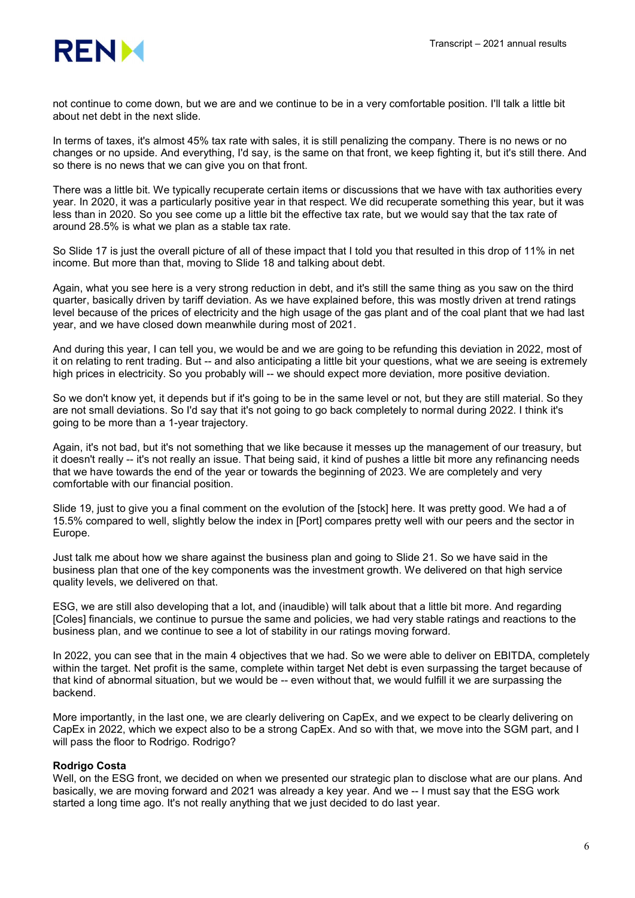

not continue to come down, but we are and we continue to be in a very comfortable position. I'll talk a little bit about net debt in the next slide.

In terms of taxes, it's almost 45% tax rate with sales, it is still penalizing the company. There is no news or no changes or no upside. And everything, I'd say, is the same on that front, we keep fighting it, but it's still there. And so there is no news that we can give you on that front.

There was a little bit. We typically recuperate certain items or discussions that we have with tax authorities every year. In 2020, it was a particularly positive year in that respect. We did recuperate something this year, but it was less than in 2020. So you see come up a little bit the effective tax rate, but we would say that the tax rate of around 28.5% is what we plan as a stable tax rate.

So Slide 17 is just the overall picture of all of these impact that I told you that resulted in this drop of 11% in net income. But more than that, moving to Slide 18 and talking about debt.

Again, what you see here is a very strong reduction in debt, and it's still the same thing as you saw on the third quarter, basically driven by tariff deviation. As we have explained before, this was mostly driven at trend ratings level because of the prices of electricity and the high usage of the gas plant and of the coal plant that we had last year, and we have closed down meanwhile during most of 2021.

And during this year, I can tell you, we would be and we are going to be refunding this deviation in 2022, most of it on relating to rent trading. But -- and also anticipating a little bit your questions, what we are seeing is extremely high prices in electricity. So you probably will -- we should expect more deviation, more positive deviation.

So we don't know yet, it depends but if it's going to be in the same level or not, but they are still material. So they are not small deviations. So I'd say that it's not going to go back completely to normal during 2022. I think it's going to be more than a 1-year trajectory.

Again, it's not bad, but it's not something that we like because it messes up the management of our treasury, but it doesn't really -- it's not really an issue. That being said, it kind of pushes a little bit more any refinancing needs that we have towards the end of the year or towards the beginning of 2023. We are completely and very comfortable with our financial position.

Slide 19, just to give you a final comment on the evolution of the [stock] here. It was pretty good. We had a of 15.5% compared to well, slightly below the index in [Port] compares pretty well with our peers and the sector in Europe.

Just talk me about how we share against the business plan and going to Slide 21. So we have said in the business plan that one of the key components was the investment growth. We delivered on that high service quality levels, we delivered on that.

ESG, we are still also developing that a lot, and (inaudible) will talk about that a little bit more. And regarding [Coles] financials, we continue to pursue the same and policies, we had very stable ratings and reactions to the business plan, and we continue to see a lot of stability in our ratings moving forward.

In 2022, you can see that in the main 4 objectives that we had. So we were able to deliver on EBITDA, completely within the target. Net profit is the same, complete within target Net debt is even surpassing the target because of that kind of abnormal situation, but we would be -- even without that, we would fulfill it we are surpassing the backend.

More importantly, in the last one, we are clearly delivering on CapEx, and we expect to be clearly delivering on CapEx in 2022, which we expect also to be a strong CapEx. And so with that, we move into the SGM part, and I will pass the floor to Rodrigo. Rodrigo?

# Rodrigo Costa

Well, on the ESG front, we decided on when we presented our strategic plan to disclose what are our plans. And basically, we are moving forward and 2021 was already a key year. And we -- I must say that the ESG work started a long time ago. It's not really anything that we just decided to do last year.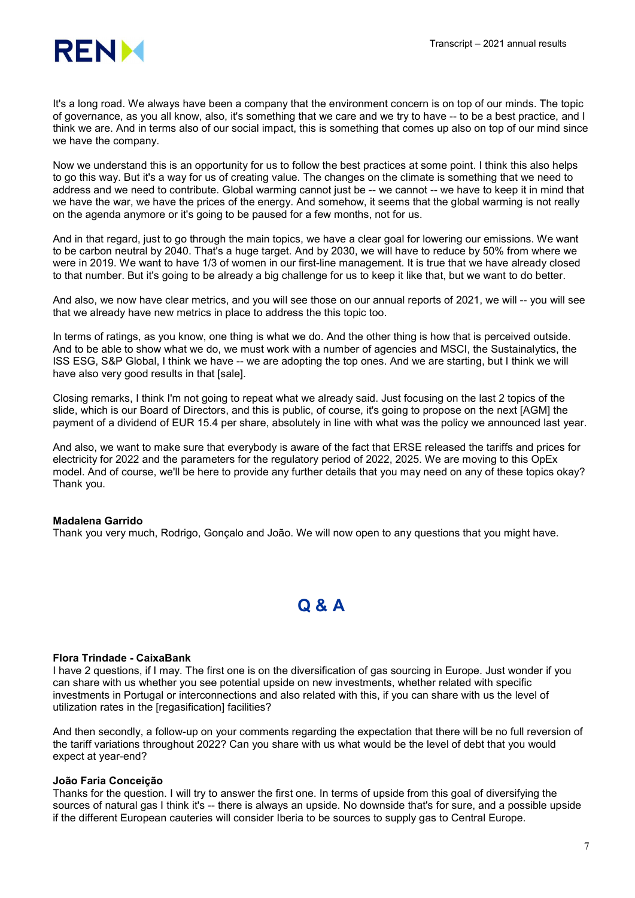

It's a long road. We always have been a company that the environment concern is on top of our minds. The topic of governance, as you all know, also, it's something that we care and we try to have -- to be a best practice, and I think we are. And in terms also of our social impact, this is something that comes up also on top of our mind since we have the company.

Now we understand this is an opportunity for us to follow the best practices at some point. I think this also helps to go this way. But it's a way for us of creating value. The changes on the climate is something that we need to address and we need to contribute. Global warming cannot just be -- we cannot -- we have to keep it in mind that we have the war, we have the prices of the energy. And somehow, it seems that the global warming is not really on the agenda anymore or it's going to be paused for a few months, not for us.

And in that regard, just to go through the main topics, we have a clear goal for lowering our emissions. We want to be carbon neutral by 2040. That's a huge target. And by 2030, we will have to reduce by 50% from where we were in 2019. We want to have 1/3 of women in our first-line management. It is true that we have already closed to that number. But it's going to be already a big challenge for us to keep it like that, but we want to do better.

And also, we now have clear metrics, and you will see those on our annual reports of 2021, we will -- you will see that we already have new metrics in place to address the this topic too.

In terms of ratings, as you know, one thing is what we do. And the other thing is how that is perceived outside. And to be able to show what we do, we must work with a number of agencies and MSCI, the Sustainalytics, the ISS ESG, S&P Global, I think we have -- we are adopting the top ones. And we are starting, but I think we will have also very good results in that [sale].

Closing remarks, I think I'm not going to repeat what we already said. Just focusing on the last 2 topics of the slide, which is our Board of Directors, and this is public, of course, it's going to propose on the next [AGM] the payment of a dividend of EUR 15.4 per share, absolutely in line with what was the policy we announced last year.

And also, we want to make sure that everybody is aware of the fact that ERSE released the tariffs and prices for electricity for 2022 and the parameters for the regulatory period of 2022, 2025. We are moving to this OpEx model. And of course, we'll be here to provide any further details that you may need on any of these topics okay? Thank you.

# Madalena Garrido

Thank you very much, Rodrigo, Gonçalo and João. We will now open to any questions that you might have.

# Q & A

# Flora Trindade - CaixaBank

I have 2 questions, if I may. The first one is on the diversification of gas sourcing in Europe. Just wonder if you can share with us whether you see potential upside on new investments, whether related with specific investments in Portugal or interconnections and also related with this, if you can share with us the level of utilization rates in the [regasification] facilities?

And then secondly, a follow-up on your comments regarding the expectation that there will be no full reversion of the tariff variations throughout 2022? Can you share with us what would be the level of debt that you would expect at year-end?

# João Faria Conceição

Thanks for the question. I will try to answer the first one. In terms of upside from this goal of diversifying the sources of natural gas I think it's -- there is always an upside. No downside that's for sure, and a possible upside if the different European cauteries will consider Iberia to be sources to supply gas to Central Europe.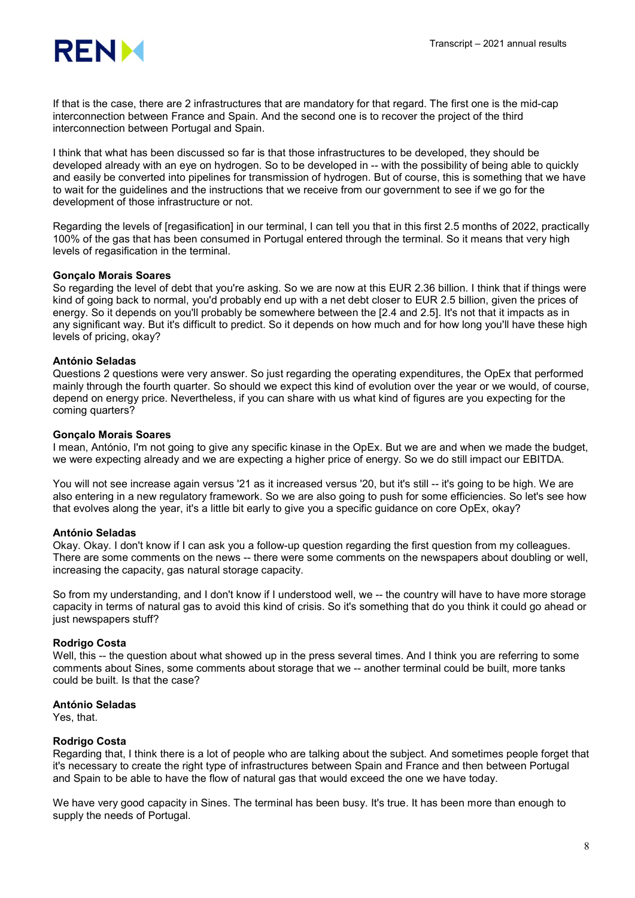

If that is the case, there are 2 infrastructures that are mandatory for that regard. The first one is the mid-cap interconnection between France and Spain. And the second one is to recover the project of the third interconnection between Portugal and Spain.

I think that what has been discussed so far is that those infrastructures to be developed, they should be developed already with an eye on hydrogen. So to be developed in -- with the possibility of being able to quickly and easily be converted into pipelines for transmission of hydrogen. But of course, this is something that we have to wait for the guidelines and the instructions that we receive from our government to see if we go for the development of those infrastructure or not.

Regarding the levels of [regasification] in our terminal, I can tell you that in this first 2.5 months of 2022, practically 100% of the gas that has been consumed in Portugal entered through the terminal. So it means that very high levels of regasification in the terminal.

# Gonçalo Morais Soares

So regarding the level of debt that you're asking. So we are now at this EUR 2.36 billion. I think that if things were kind of going back to normal, you'd probably end up with a net debt closer to EUR 2.5 billion, given the prices of energy. So it depends on you'll probably be somewhere between the [2.4 and 2.5]. It's not that it impacts as in any significant way. But it's difficult to predict. So it depends on how much and for how long you'll have these high levels of pricing, okay?

# António Seladas

Questions 2 questions were very answer. So just regarding the operating expenditures, the OpEx that performed mainly through the fourth quarter. So should we expect this kind of evolution over the year or we would, of course, depend on energy price. Nevertheless, if you can share with us what kind of figures are you expecting for the coming quarters?

# Gonçalo Morais Soares

I mean, António, I'm not going to give any specific kinase in the OpEx. But we are and when we made the budget, we were expecting already and we are expecting a higher price of energy. So we do still impact our EBITDA.

You will not see increase again versus '21 as it increased versus '20, but it's still -- it's going to be high. We are also entering in a new regulatory framework. So we are also going to push for some efficiencies. So let's see how that evolves along the year, it's a little bit early to give you a specific guidance on core OpEx, okay?

# António Seladas

Okay. Okay. I don't know if I can ask you a follow-up question regarding the first question from my colleagues. There are some comments on the news -- there were some comments on the newspapers about doubling or well, increasing the capacity, gas natural storage capacity.

So from my understanding, and I don't know if I understood well, we -- the country will have to have more storage capacity in terms of natural gas to avoid this kind of crisis. So it's something that do you think it could go ahead or just newspapers stuff?

# Rodrigo Costa

Well, this -- the question about what showed up in the press several times. And I think you are referring to some comments about Sines, some comments about storage that we -- another terminal could be built, more tanks could be built. Is that the case?

# António Seladas

Yes, that.

# Rodrigo Costa

Regarding that, I think there is a lot of people who are talking about the subject. And sometimes people forget that it's necessary to create the right type of infrastructures between Spain and France and then between Portugal and Spain to be able to have the flow of natural gas that would exceed the one we have today.

We have very good capacity in Sines. The terminal has been busy. It's true. It has been more than enough to supply the needs of Portugal.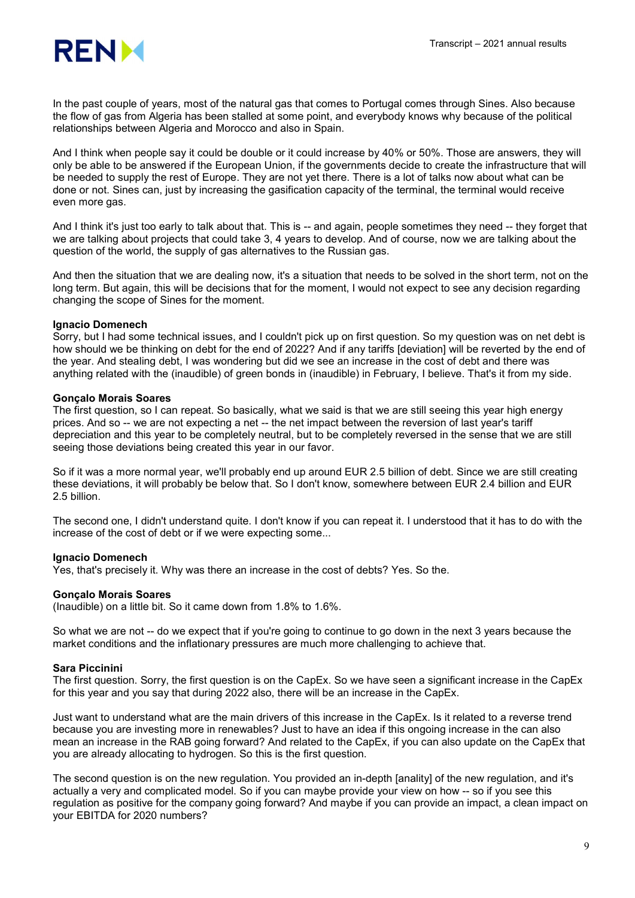

In the past couple of years, most of the natural gas that comes to Portugal comes through Sines. Also because the flow of gas from Algeria has been stalled at some point, and everybody knows why because of the political relationships between Algeria and Morocco and also in Spain.

And I think when people say it could be double or it could increase by 40% or 50%. Those are answers, they will only be able to be answered if the European Union, if the governments decide to create the infrastructure that will be needed to supply the rest of Europe. They are not yet there. There is a lot of talks now about what can be done or not. Sines can, just by increasing the gasification capacity of the terminal, the terminal would receive even more gas.

And I think it's just too early to talk about that. This is -- and again, people sometimes they need -- they forget that we are talking about projects that could take 3, 4 years to develop. And of course, now we are talking about the question of the world, the supply of gas alternatives to the Russian gas.

And then the situation that we are dealing now, it's a situation that needs to be solved in the short term, not on the long term. But again, this will be decisions that for the moment, I would not expect to see any decision regarding changing the scope of Sines for the moment.

# Ignacio Domenech

Sorry, but I had some technical issues, and I couldn't pick up on first question. So my question was on net debt is how should we be thinking on debt for the end of 2022? And if any tariffs [deviation] will be reverted by the end of the year. And stealing debt, I was wondering but did we see an increase in the cost of debt and there was anything related with the (inaudible) of green bonds in (inaudible) in February, I believe. That's it from my side.

# Gonçalo Morais Soares

The first question, so I can repeat. So basically, what we said is that we are still seeing this year high energy prices. And so -- we are not expecting a net -- the net impact between the reversion of last year's tariff depreciation and this year to be completely neutral, but to be completely reversed in the sense that we are still seeing those deviations being created this year in our favor.

So if it was a more normal year, we'll probably end up around EUR 2.5 billion of debt. Since we are still creating these deviations, it will probably be below that. So I don't know, somewhere between EUR 2.4 billion and EUR 2.5 billion.

The second one, I didn't understand quite. I don't know if you can repeat it. I understood that it has to do with the increase of the cost of debt or if we were expecting some...

# Ignacio Domenech

Yes, that's precisely it. Why was there an increase in the cost of debts? Yes. So the.

# Gonçalo Morais Soares

(Inaudible) on a little bit. So it came down from 1.8% to 1.6%.

So what we are not -- do we expect that if you're going to continue to go down in the next 3 years because the market conditions and the inflationary pressures are much more challenging to achieve that.

# Sara Piccinini

The first question. Sorry, the first question is on the CapEx. So we have seen a significant increase in the CapEx for this year and you say that during 2022 also, there will be an increase in the CapEx.

Just want to understand what are the main drivers of this increase in the CapEx. Is it related to a reverse trend because you are investing more in renewables? Just to have an idea if this ongoing increase in the can also mean an increase in the RAB going forward? And related to the CapEx, if you can also update on the CapEx that you are already allocating to hydrogen. So this is the first question.

The second question is on the new regulation. You provided an in-depth [anality] of the new regulation, and it's actually a very and complicated model. So if you can maybe provide your view on how -- so if you see this regulation as positive for the company going forward? And maybe if you can provide an impact, a clean impact on your EBITDA for 2020 numbers?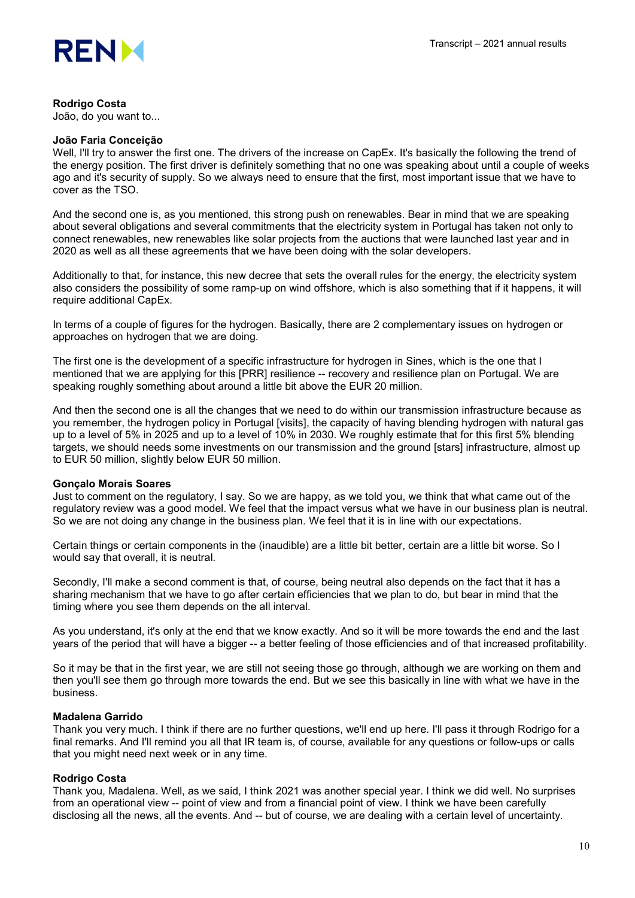

# Rodrigo Costa

João, do you want to...

#### João Faria Conceição

Well, I'll try to answer the first one. The drivers of the increase on CapEx. It's basically the following the trend of the energy position. The first driver is definitely something that no one was speaking about until a couple of weeks ago and it's security of supply. So we always need to ensure that the first, most important issue that we have to cover as the TSO.

And the second one is, as you mentioned, this strong push on renewables. Bear in mind that we are speaking about several obligations and several commitments that the electricity system in Portugal has taken not only to connect renewables, new renewables like solar projects from the auctions that were launched last year and in 2020 as well as all these agreements that we have been doing with the solar developers.

Additionally to that, for instance, this new decree that sets the overall rules for the energy, the electricity system also considers the possibility of some ramp-up on wind offshore, which is also something that if it happens, it will require additional CapEx.

In terms of a couple of figures for the hydrogen. Basically, there are 2 complementary issues on hydrogen or approaches on hydrogen that we are doing.

The first one is the development of a specific infrastructure for hydrogen in Sines, which is the one that I mentioned that we are applying for this [PRR] resilience -- recovery and resilience plan on Portugal. We are speaking roughly something about around a little bit above the EUR 20 million.

And then the second one is all the changes that we need to do within our transmission infrastructure because as you remember, the hydrogen policy in Portugal [visits], the capacity of having blending hydrogen with natural gas up to a level of 5% in 2025 and up to a level of 10% in 2030. We roughly estimate that for this first 5% blending targets, we should needs some investments on our transmission and the ground [stars] infrastructure, almost up to EUR 50 million, slightly below EUR 50 million.

#### Gonçalo Morais Soares

Just to comment on the regulatory, I say. So we are happy, as we told you, we think that what came out of the regulatory review was a good model. We feel that the impact versus what we have in our business plan is neutral. So we are not doing any change in the business plan. We feel that it is in line with our expectations.

Certain things or certain components in the (inaudible) are a little bit better, certain are a little bit worse. So I would say that overall, it is neutral.

Secondly, I'll make a second comment is that, of course, being neutral also depends on the fact that it has a sharing mechanism that we have to go after certain efficiencies that we plan to do, but bear in mind that the timing where you see them depends on the all interval.

As you understand, it's only at the end that we know exactly. And so it will be more towards the end and the last years of the period that will have a bigger -- a better feeling of those efficiencies and of that increased profitability.

So it may be that in the first year, we are still not seeing those go through, although we are working on them and then you'll see them go through more towards the end. But we see this basically in line with what we have in the business.

# Madalena Garrido

Thank you very much. I think if there are no further questions, we'll end up here. I'll pass it through Rodrigo for a final remarks. And I'll remind you all that IR team is, of course, available for any questions or follow-ups or calls that you might need next week or in any time.

# Rodrigo Costa

Thank you, Madalena. Well, as we said, I think 2021 was another special year. I think we did well. No surprises from an operational view -- point of view and from a financial point of view. I think we have been carefully disclosing all the news, all the events. And -- but of course, we are dealing with a certain level of uncertainty.